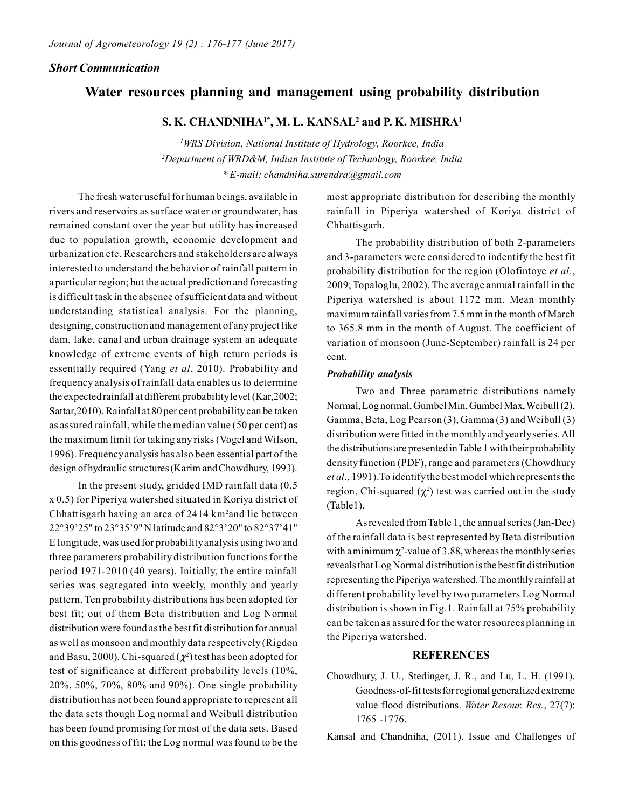## *Short Communication*

# **Water resources planning and management using probability distribution**

## **S. K. CHANDNIHA1\*, M. L. KANSAL<sup>2</sup> and P. K. MISHRA<sup>1</sup>**

*<sup>1</sup>WRS Division, National Institute of Hydrology, Roorkee, India <sup>2</sup>Department of WRD&M, Indian Institute of Technology, Roorkee, India \* E-mail: chandniha.surendra@gmail.com*

The fresh water useful for human beings, available in rivers and reservoirs as surface water or groundwater, has remained constant over the year but utility has increased due to population growth, economic development and urbanization etc. Researchers and stakeholders are always interested to understand the behavior of rainfall pattern in a particular region; but the actual prediction and forecasting is difficult task in the absence of sufficient data and without understanding statistical analysis. For the planning, designing, construction and management of any project like dam, lake, canal and urban drainage system an adequate knowledge of extreme events of high return periods is essentially required (Yang *et al*, 2010). Probability and frequency analysis of rainfall data enables us to determine the expected rainfall at different probability level (Kar,2002; Sattar,2010). Rainfall at 80 per cent probability can be taken as assured rainfall, while the median value (50 per cent) as the maximum limit for taking any risks (Vogel and Wilson, 1996). Frequency analysis has also been essential part of the design of hydraulic structures (Karim and Chowdhury, 1993).

In the present study, gridded IMD rainfall data (0.5 x 0.5) for Piperiya watershed situated in Koriya district of Chhattisgarh having an area of 2414 km<sup>2</sup>and lie between 22°39'25" to 23°35'9" N latitude and 82°3'20" to 82°37'41" E longitude, was used for probability analysis using two and three parameters probability distribution functions for the period 1971-2010 (40 years). Initially, the entire rainfall series was segregated into weekly, monthly and yearly pattern. Ten probability distributions has been adopted for best fit; out of them Beta distribution and Log Normal distribution were found as the best fit distribution for annual as well as monsoon and monthly data respectively (Rigdon and Basu, 2000). Chi-squared ( $\chi^2$ ) test has been adopted for test of significance at different probability levels (10%, 20%, 50%, 70%, 80% and 90%). One single probability distribution has not been found appropriate to represent all the data sets though Log normal and Weibull distribution has been found promising for most of the data sets. Based on this goodness of fit; the Log normal was found to be the

most appropriate distribution for describing the monthly rainfall in Piperiya watershed of Koriya district of Chhattisgarh.

The probability distribution of both 2-parameters and 3-parameters were considered to indentify the best fit probability distribution for the region (Olofintoye *et al*., 2009; Topaloglu, 2002). The average annual rainfall in the Piperiya watershed is about 1172 mm. Mean monthly maximum rainfall varies from 7.5 mm in the month of March to 365.8 mm in the month of August. The coefficient of variation of monsoon (June-September) rainfall is 24 per cent.

#### *Probability analysis*

Two and Three parametric distributions namely Normal, Log normal, Gumbel Min, Gumbel Max, Weibull (2), Gamma, Beta, Log Pearson (3), Gamma (3) and Weibull (3) distribution were fitted in the monthly and yearly series. All the distributions are presented in Table 1 with their probability density function (PDF), range and parameters (Chowdhury *et al.,* 1991).To identify the best model which represents the region, Chi-squared  $(\chi^2)$  test was carried out in the study (Table1).

As revealed from Table 1, the annual series (Jan-Dec) of the rainfall data is best represented by Beta distribution with a minimum  $\chi^2$ -value of 3.88, whereas the monthly series reveals that Log Normal distribution is the best fit distribution representing the Piperiya watershed. The monthly rainfall at different probability level by two parameters Log Normal distribution is shown in Fig.1. Rainfall at 75% probability can be taken as assured for the water resources planning in the Piperiya watershed.

## **REFERENCES**

Chowdhury, J. U., Stedinger, J. R., and Lu, L. H. (1991). Goodness-of-fit tests for regional generalized extreme value flood distributions. *Water Resour. Res.*, 27(7): 1765 -1776.

Kansal and Chandniha, (2011). Issue and Challenges of